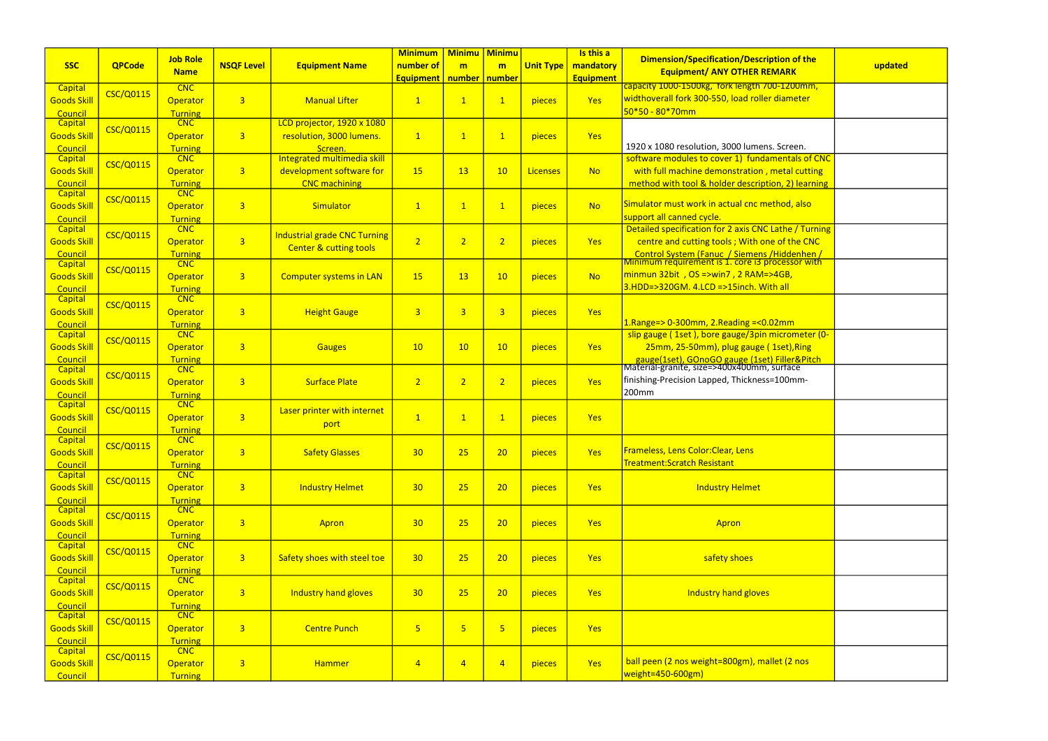|                           |                  | <b>Job Role</b>              |                   |                                     | <b>Minimum</b>          | <b>Minimu   Minimu</b>  |                         |                  | Is this a        |                                                                                                          |         |
|---------------------------|------------------|------------------------------|-------------------|-------------------------------------|-------------------------|-------------------------|-------------------------|------------------|------------------|----------------------------------------------------------------------------------------------------------|---------|
| <b>SSC</b>                | <b>QPCode</b>    |                              | <b>NSQF Level</b> | <b>Equipment Name</b>               | number of               | m                       | m                       | <b>Unit Type</b> | mandatory        | Dimension/Specification/Description of the<br><b>Equipment/ ANY OTHER REMARK</b>                         | updated |
|                           |                  | <b>Name</b>                  |                   |                                     | <b>Equipment</b>        | number number           |                         |                  | <b>Equipment</b> |                                                                                                          |         |
| <b>Capital</b>            | <b>CSC/Q0115</b> | <b>CNC</b>                   |                   |                                     |                         |                         |                         |                  |                  | capacity 1000-1500kg, fork length 700-1200mm,                                                            |         |
| <b>Goods Skill</b>        |                  | Operator                     | $\overline{3}$    | <b>Manual Lifter</b>                | $\mathbf{1}$            | $\mathbf{1}$            | $\mathbf{1}$            | pieces           | Yes              | widthoverall fork 300-550, load roller diameter                                                          |         |
| Council                   |                  | <b>Turning</b>               |                   |                                     |                         |                         |                         |                  |                  | $50*50 - 80*70mm$                                                                                        |         |
| <b>Capital</b>            | <b>CSC/Q0115</b> | <b>CNC</b>                   |                   | LCD projector, 1920 x 1080          |                         |                         |                         |                  |                  |                                                                                                          |         |
| <b>Goods Skill</b>        |                  | Operator                     | 3 <sup>1</sup>    | resolution, 3000 lumens.            | $\mathbf{1}$            | $\mathbf{1}$            | $\mathbf 1$             | pieces           | <b>Yes</b>       |                                                                                                          |         |
| Council                   |                  | Turning                      |                   | Screen.                             |                         |                         |                         |                  |                  | 1920 x 1080 resolution, 3000 lumens. Screen.                                                             |         |
| Capital                   | <b>CSC/Q0115</b> | <b>CNC</b>                   |                   | Integrated multimedia skill         |                         |                         |                         |                  |                  | software modules to cover 1) fundamentals of CNC                                                         |         |
| <b>Goods Skill</b>        |                  | Operator                     | 3 <sup>1</sup>    | development software for            | 15                      | 13                      | 10                      | <b>Licenses</b>  | <b>No</b>        | with full machine demonstration, metal cutting                                                           |         |
| Council                   |                  | <b>Turning</b><br>CNC        |                   | <b>CNC</b> machining                |                         |                         |                         |                  |                  | method with tool & holder description, 2) learning                                                       |         |
| <b>Capital</b>            | <b>CSC/Q0115</b> |                              |                   |                                     |                         |                         |                         |                  |                  | Simulator must work in actual cnc method, also                                                           |         |
| <b>Goods Skill</b>        |                  | Operator                     | $\overline{3}$    | Simulator                           | $\mathbf{1}$            | $\mathbf{1}$            | $\mathbf{1}$            | pieces           | <b>No</b>        | support all canned cycle.                                                                                |         |
| Council<br><b>Capital</b> |                  | <b>Turning</b><br><b>CNC</b> |                   |                                     |                         |                         |                         |                  |                  | Detailed specification for 2 axis CNC Lathe / Turning                                                    |         |
| <b>Goods Skill</b>        | <b>CSC/Q0115</b> | Operator                     | 3 <sup>1</sup>    | <b>Industrial grade CNC Turning</b> | $\overline{2}$          | $\overline{2}$          | $\overline{2}$          |                  | Yes              | centre and cutting tools; With one of the CNC                                                            |         |
|                           |                  |                              |                   | <b>Center &amp; cutting tools</b>   |                         |                         |                         | pieces           |                  |                                                                                                          |         |
| Council<br>Capital        |                  | <b>Turning</b><br><b>CNC</b> |                   |                                     |                         |                         |                         |                  |                  | Control System (Fanuc / Siemens / Hiddenhen /<br><u>Minimum requirement is 1. core i3 processor with</u> |         |
| <b>Goods Skill</b>        | <b>CSC/Q0115</b> | Operator                     | $\overline{3}$    | <b>Computer systems in LAN</b>      | <b>15</b>               | 13                      | 10                      | pieces           | <b>No</b>        | $minmun$ 32bit, $OS = > win7$ , 2 RAM= $>4GB$ ,                                                          |         |
| Council                   |                  | <b>Turning</b>               |                   |                                     |                         |                         |                         |                  |                  | 3.HDD=>320GM. 4.LCD =>15inch. With all                                                                   |         |
| <b>Capital</b>            |                  | CNC                          |                   |                                     |                         |                         |                         |                  |                  |                                                                                                          |         |
| <b>Goods Skill</b>        | <b>CSC/Q0115</b> | Operator                     | $\overline{3}$    | <b>Height Gauge</b>                 | $\overline{3}$          | $\overline{3}$          | $\overline{3}$          | pieces           | Yes              |                                                                                                          |         |
| Council                   |                  | <b>Turning</b>               |                   |                                     |                         |                         |                         |                  |                  | $1.$ Range=> 0-300mm, 2.Reading =< $0.02$ mm                                                             |         |
| <b>Capital</b>            |                  | <b>CNC</b>                   |                   |                                     |                         |                         |                         |                  |                  | slip gauge (1set), bore gauge/3pin micrometer (0-                                                        |         |
| <b>Goods Skill</b>        | <b>CSC/Q0115</b> | Operator                     | $\overline{3}$    | <b>Gauges</b>                       | 10                      | 10                      | 10                      | pieces           | Yes              | 25mm, 25-50mm), plug gauge (1set), Ring                                                                  |         |
| Council                   |                  | <b>Turning</b>               |                   |                                     |                         |                         |                         |                  |                  |                                                                                                          |         |
| Capital                   |                  | <b>CNC</b>                   |                   |                                     |                         |                         |                         |                  |                  | <b>n gauge(1set), GOnoGO gauge (1set) Filler&amp;Pitch</b><br>Material-granite, size=>400x400mm, surface |         |
| <b>Goods Skill</b>        | <b>CSC/Q0115</b> | Operator                     | $\overline{3}$    | <b>Surface Plate</b>                | $\overline{2}$          | $\overline{2}$          | $\overline{2}$          | pieces           | <b>Yes</b>       | finishing-Precision Lapped, Thickness=100mm-                                                             |         |
| Council                   |                  | <b>Turning</b>               |                   |                                     |                         |                         |                         |                  |                  | 200mm                                                                                                    |         |
| <b>Capital</b>            | <b>CSC/Q0115</b> | CNC                          |                   | Laser printer with internet         |                         |                         |                         |                  |                  |                                                                                                          |         |
| <b>Goods Skill</b>        |                  | Operator                     | $\overline{3}$    |                                     | $\overline{1}$          | $\mathbf{1}$            | $\mathbf{1}$            | pieces           | <b>Yes</b>       |                                                                                                          |         |
| Council                   |                  | <b>Turning</b>               |                   | port                                |                         |                         |                         |                  |                  |                                                                                                          |         |
| Capital                   | <b>CSC/Q0115</b> | <b>CNC</b>                   |                   |                                     |                         |                         |                         |                  |                  |                                                                                                          |         |
| <b>Goods Skill</b>        |                  | Operator                     | 3 <sup>1</sup>    | <b>Safety Glasses</b>               | 30                      | 25                      | 20                      | pieces           | Yes              | Frameless, Lens Color: Clear, Lens                                                                       |         |
| Council                   |                  | <b>Turning</b>               |                   |                                     |                         |                         |                         |                  |                  | Treatment:Scratch Resistant                                                                              |         |
| Capital                   | <b>CSC/Q0115</b> | <b>CNC</b>                   |                   |                                     |                         |                         |                         |                  |                  |                                                                                                          |         |
| <b>Goods Skill</b>        |                  | Operator                     | 3 <sup>1</sup>    | <b>Industry Helmet</b>              | 30                      | 25                      | 20                      | pieces           | Yes              | <b>Industry Helmet</b>                                                                                   |         |
| Council                   |                  | <b>Turning</b>               |                   |                                     |                         |                         |                         |                  |                  |                                                                                                          |         |
| Capital                   | <b>CSC/Q0115</b> | CNC                          |                   |                                     |                         |                         |                         |                  |                  |                                                                                                          |         |
| <b>Goods Skill</b>        |                  | Operator                     | $\overline{3}$    | Apron                               | 30                      | 25                      | 20                      | pieces           | Yes              | Apron                                                                                                    |         |
| Council<br>Capital        |                  | <b>Turning</b><br>CNC        |                   |                                     |                         |                         |                         |                  |                  |                                                                                                          |         |
|                           | <b>CSC/Q0115</b> |                              | 3 <sup>7</sup>    | Safety shoes with steel toe         | 30                      | 25                      | 20                      |                  | Yes              | safety shoes                                                                                             |         |
| <b>Goods Skill</b>        |                  | Operator                     |                   |                                     |                         |                         |                         | pieces           |                  |                                                                                                          |         |
| Council<br><b>Capital</b> |                  | <b>Turning</b><br>CNC        |                   |                                     |                         |                         |                         |                  |                  |                                                                                                          |         |
| <b>Goods Skill</b>        | <b>CSC/Q0115</b> | Operator                     | 3 <sup>1</sup>    | <b>Industry hand gloves</b>         | 30                      | 25                      | 20                      | pieces           | Yes              | Industry hand gloves                                                                                     |         |
| Council                   |                  | <b>Turning</b>               |                   |                                     |                         |                         |                         |                  |                  |                                                                                                          |         |
| Capital                   |                  | <b>CNC</b>                   |                   |                                     |                         |                         |                         |                  |                  |                                                                                                          |         |
| <b>Goods Skill</b>        | <b>CSC/Q0115</b> | Operator                     | 3 <sup>1</sup>    | <b>Centre Punch</b>                 | $\overline{\mathbf{5}}$ | $\overline{\mathbf{5}}$ | $\overline{\mathbf{5}}$ | pieces           | Yes              |                                                                                                          |         |
| Council                   |                  | <b>Turning</b>               |                   |                                     |                         |                         |                         |                  |                  |                                                                                                          |         |
| Capital                   |                  | CNC                          |                   |                                     |                         |                         |                         |                  |                  |                                                                                                          |         |
| <b>Goods Skill</b>        | <b>CSC/Q0115</b> | Operator                     | $\overline{3}$    | <b>Hammer</b>                       | $\overline{4}$          | $\overline{4}$          | $\overline{4}$          | pieces           | Yes              | ball peen (2 nos weight=800gm), mallet (2 nos                                                            |         |
| Council                   |                  | <b>Turning</b>               |                   |                                     |                         |                         |                         |                  |                  | weight=450-600gm)                                                                                        |         |

| of the<br>K                                            | updated |
|--------------------------------------------------------|---------|
| <mark>J0mm,</mark><br><u>ieter</u>                     |         |
| en.                                                    |         |
| <mark>als of CNC</mark><br>cutting<br><b>learning</b>  |         |
| <mark>, also</mark>                                    |         |
| /Turning<br>he CNC<br><mark>enhen /</mark><br>sor with |         |
|                                                        |         |
| ï                                                      |         |
| meter (0-<br>Ring,<br><mark>r&amp;Pitch</mark><br>ce   |         |
| nm-                                                    |         |
|                                                        |         |
|                                                        |         |
|                                                        |         |
|                                                        |         |
|                                                        |         |
|                                                        |         |
|                                                        |         |
| nos                                                    |         |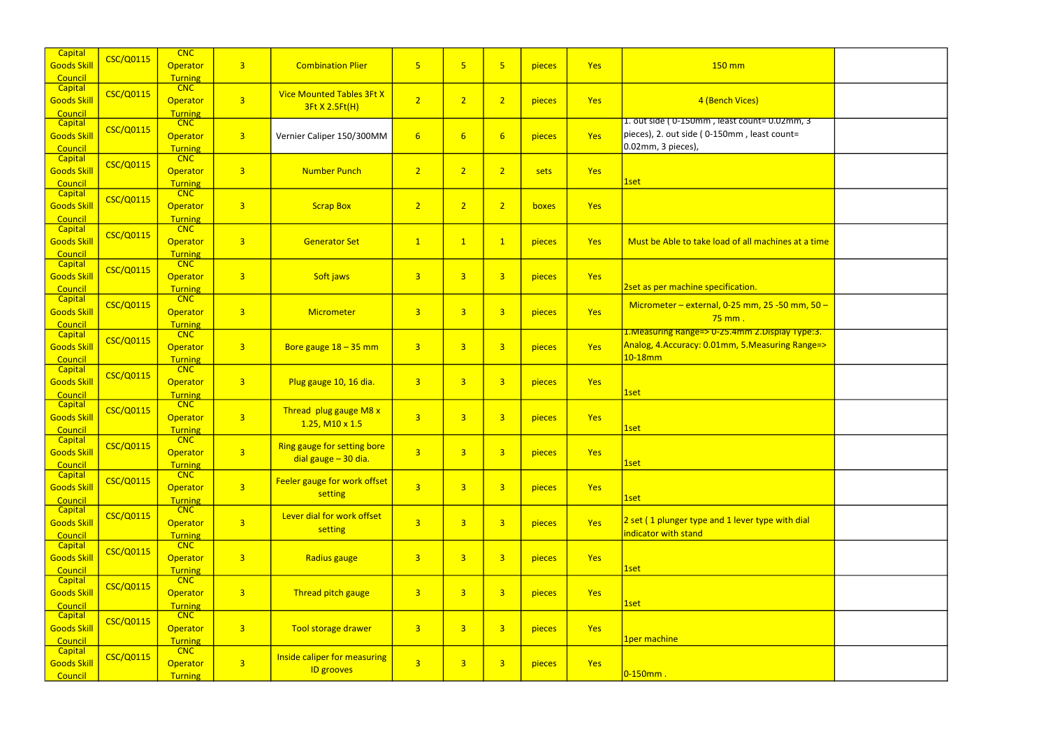| <b>Capital</b><br><b>Goods Skill</b><br>Council | <b>CSC/Q0115</b> | CNC<br><b>Operator</b><br><b>Turning</b>        | 3 <sup>1</sup> | <b>Combination Plier</b>                                 | $\overline{\mathbf{5}}$ | 5 <sub>o</sub>   | $\overline{5}$          | pieces | Yes | $150$ mm                                                                                                            |
|-------------------------------------------------|------------------|-------------------------------------------------|----------------|----------------------------------------------------------|-------------------------|------------------|-------------------------|--------|-----|---------------------------------------------------------------------------------------------------------------------|
| Capital<br><b>Goods Skill</b><br>Council        | <b>CSC/Q0115</b> | <b>CNC</b><br>Operator<br>Turning               | $\overline{3}$ | <b>Vice Mounted Tables 3Ft X</b><br>3Ft X 2.5Ft(H)       | $\overline{2}$          | 2 <sup>1</sup>   | $\overline{2}$          | pieces | Yes | 4 (Bench Vices)                                                                                                     |
| Capital<br><b>Goods Skill</b><br>Council        | <b>CSC/Q0115</b> | CNC<br>Operator<br><b>Turning</b>               | $\overline{3}$ | Vernier Caliper 150/300MM                                | $6 \overline{}$         | $6 \overline{6}$ | $6\overline{6}$         | pieces | Yes | 1. out side (0-150mm, least count=0.02mm, 3<br>pieces), 2. out side (0-150mm, least count=<br>$0.02$ mm, 3 pieces), |
| Capital<br><b>Goods Skill</b><br>Council        | <b>CSC/Q0115</b> | <b>CNC</b><br><b>Operator</b><br><b>Turning</b> | $\overline{3}$ | <b>Number Punch</b>                                      | $\overline{2}$          | 2 <sup>1</sup>   | $\overline{2}$          | sets   | Yes | 1set                                                                                                                |
| Capital<br><b>Goods Skill</b><br>Council        | <b>CSC/Q0115</b> | CNC<br>Operator<br><b>Turning</b>               | $\overline{3}$ | <b>Scrap Box</b>                                         | $\overline{2}$          | 2 <sup>1</sup>   | $\overline{2}$          | boxes  | Yes |                                                                                                                     |
| <b>Capital</b><br><b>Goods Skill</b><br>Council | <b>CSC/Q0115</b> | CNC<br>Operator<br><b>Turning</b>               | $\overline{3}$ | <b>Generator Set</b>                                     | $\mathbf{1}$            | $\mathbf{1}$     | $\mathbf{1}$            | pieces | Yes | Must be Able to take load of all machines at a time                                                                 |
| Capital<br><b>Goods Skill</b><br>Council        | <b>CSC/Q0115</b> | <b>CNC</b><br><b>Operator</b><br><b>Turning</b> | $\overline{3}$ | Soft jaws                                                | $\overline{3}$          | $\overline{3}$   | $\overline{3}$          | pieces | Yes | 2set as per machine specification.                                                                                  |
| Capital<br><b>Goods Skill</b><br>Council        | <b>CSC/Q0115</b> | CNC<br>Operator<br><b>Turning</b>               | $\overline{3}$ | Micrometer                                               | $\overline{3}$          | $\overline{3}$   | $\overline{3}$          | pieces | Yes | Micrometer – external, $0-25$ mm, $25-50$ mm, $50-$<br>$75$ mm.                                                     |
| Capital<br><b>Goods Skill</b><br>Council        | <b>CSC/Q0115</b> | CNC<br>Operator<br><b>Turning</b>               | $\overline{3}$ | Bore gauge $18 - 35$ mm                                  | $\overline{3}$          | 3 <sup>1</sup>   | $\overline{3}$          | pieces | Yes | 1. Measuring Range=> 0-25.4mm 2. Display Type: 3.<br>Analog, 4.Accuracy: 0.01mm, 5.Measuring Range=><br>$10-18$ mm  |
| <b>Capital</b><br><b>Goods Skill</b><br>Council | <b>CSC/Q0115</b> | CNC<br><b>Operator</b><br><b>Turning</b>        | 3 <sup>1</sup> | Plug gauge 10, 16 dia.                                   | $\overline{3}$          | $\overline{3}$   | $\overline{3}$          | pieces | Yes | 1set                                                                                                                |
| Capital<br><b>Goods Skill</b><br>Council        | <b>CSC/Q0115</b> | CNC<br>Operator<br><b>Turning</b>               | 3 <sup>1</sup> | Thread plug gauge M8 x<br>$1.25$ , M <sub>10</sub> x 1.5 | $\overline{3}$          | $\overline{3}$   | $\overline{3}$          | pieces | Yes | 1set                                                                                                                |
| Capital<br><b>Goods Skill</b><br>Council        | <b>CSC/Q0115</b> | <b>CNC</b><br><b>Operator</b><br><b>Turning</b> | $\overline{3}$ | Ring gauge for setting bore<br>dial gauge - 30 dia.      | $\overline{3}$          | 3 <sup>1</sup>   | $\overline{3}$          | pieces | Yes | 1set                                                                                                                |
| Capital<br><b>Goods Skill</b><br>Council        | <b>CSC/Q0115</b> | CNC<br><b>Operator</b><br><b>Turning</b>        | 3 <sup>1</sup> | Feeler gauge for work offset<br>setting                  | $\overline{3}$          | $\overline{3}$   | $\overline{3}$          | pieces | Yes | 1set                                                                                                                |
| Capital<br><b>Goods Skill</b><br>Council        | <b>CSC/Q0115</b> | <b>CNC</b><br><b>Operator</b><br><b>Turning</b> | $\overline{3}$ | Lever dial for work offset<br>setting                    | $\overline{3}$          | $\overline{3}$   | $\overline{3}$          | pieces | Yes | 2 set (1 plunger type and 1 lever type with dial<br>indicator with stand                                            |
| <b>Capital</b><br><b>Goods Skill</b><br>Council | <b>CSC/Q0115</b> | CNC<br><b>Operator</b><br><b>Turning</b>        | 3 <sup>1</sup> | Radius gauge                                             | $\overline{\mathbf{3}}$ | 3 <sup>1</sup>   | $\overline{3}$          | pieces | Yes | 1set                                                                                                                |
| Capital<br><b>Goods Skill</b><br>Council        | <b>CSC/Q0115</b> | CNC<br><b>Operator</b><br><b>Turning</b>        | 3 <sup>1</sup> | Thread pitch gauge                                       | $\overline{\mathbf{3}}$ | 3 <sup>2</sup>   | $\overline{3}$          | pieces | Yes | 1set                                                                                                                |
| Capital<br><b>Goods Skill</b><br>Council        | <b>CSC/Q0115</b> | <b>CNC</b><br><b>Operator</b><br><b>Turning</b> | 3 <sup>2</sup> | Tool storage drawer                                      | $\overline{3}$          | 3 <sup>2</sup>   | $\overline{3}$          | pieces | Yes | 1per machine                                                                                                        |
| <b>Capital</b><br><b>Goods Skill</b><br>Council | <b>CSC/Q0115</b> | CNC<br><b>Operator</b><br><b>Turning</b>        | 3 <sup>2</sup> | Inside caliper for measuring<br><b>ID grooves</b>        | $\overline{3}$          | $\overline{3}$   | $\overline{\mathbf{3}}$ | pieces | Yes | $ 0 - 150$ mm.                                                                                                      |

| $\overline{\mathsf{m}}, \overline{\mathsf{3}}$<br>$=$ |  |
|-------------------------------------------------------|--|
|                                                       |  |
|                                                       |  |
| at a time                                             |  |
|                                                       |  |
| <mark>mm, 50 –</mark>                                 |  |
| <mark>Type:3.</mark><br>Range=>                       |  |
|                                                       |  |
|                                                       |  |
|                                                       |  |
|                                                       |  |
| dial                                                  |  |
|                                                       |  |
|                                                       |  |
|                                                       |  |
|                                                       |  |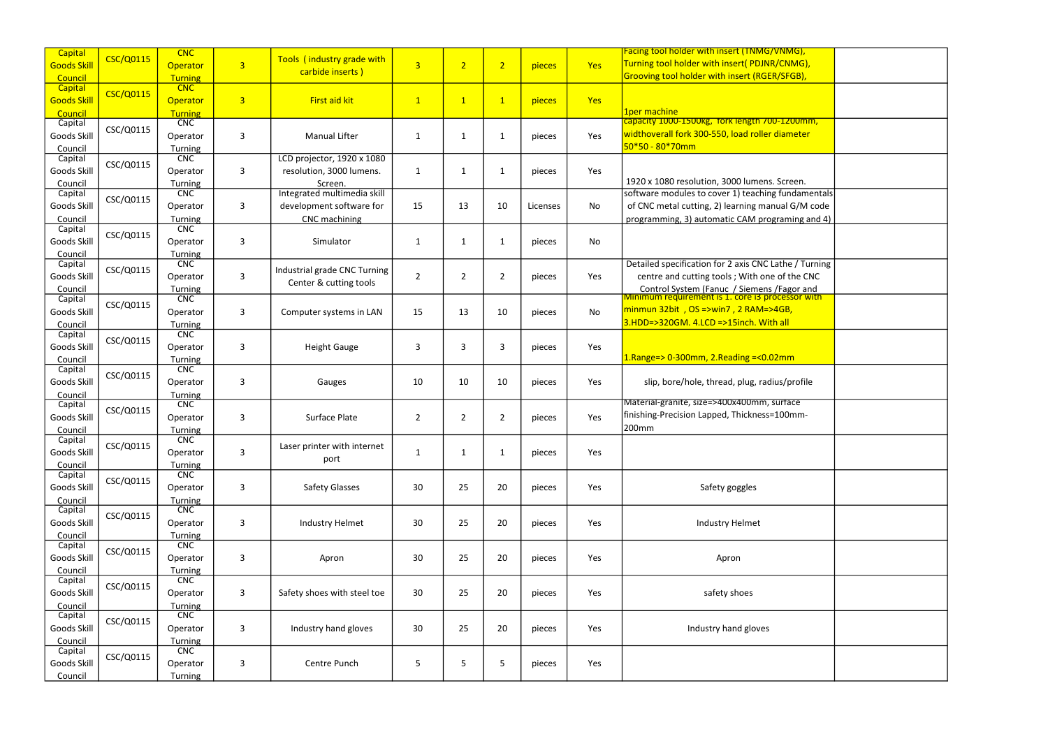| Capital            |                  | <b>CNC</b>                   |                |                              |                |                |                |          |            | Facing tool holder with insert (TNMG/VNMG),                                                     |  |
|--------------------|------------------|------------------------------|----------------|------------------------------|----------------|----------------|----------------|----------|------------|-------------------------------------------------------------------------------------------------|--|
| <b>Goods Skill</b> | <b>CSC/Q0115</b> | <b>Operator</b>              | 3 <sup>7</sup> | Tools (industry grade with   | $\overline{3}$ | $\overline{2}$ | 2 <sup>1</sup> | pieces   | Yes        | Turning tool holder with insert( PDJNR/CNMG),                                                   |  |
| Council            |                  | Turning                      |                | carbide inserts)             |                |                |                |          |            | Grooving tool holder with insert (RGER/SFGB),                                                   |  |
| Capital            |                  | <b>CNC</b>                   |                |                              |                |                |                |          |            |                                                                                                 |  |
| <b>Goods Skill</b> | <b>CSC/Q0115</b> | Operator                     | $\overline{3}$ | First aid kit                | $\mathbf{1}$   | $\mathbf{1}$   | $\mathbf{1}$   | pieces   | <b>Yes</b> |                                                                                                 |  |
| Council            |                  | <b>Turning</b>               |                |                              |                |                |                |          |            | 1per machine                                                                                    |  |
| Capital            |                  | CNC                          |                |                              |                |                |                |          |            | capacity 1000-1500kg, fork length 700-1200mm,                                                   |  |
| Goods Skill        | CSC/Q0115        | Operator                     | 3              | <b>Manual Lifter</b>         | 1              | 1              | $\mathbf{1}$   | pieces   | Yes        | widthoverall fork 300-550, load roller diameter                                                 |  |
| Council            |                  | Turning                      |                |                              |                |                |                |          |            | 50*50 - 80*70mm                                                                                 |  |
| Capital            | CSC/Q0115        | CNC                          |                | LCD projector, 1920 x 1080   |                |                |                |          |            |                                                                                                 |  |
| Goods Skill        |                  | Operator                     | 3              | resolution, 3000 lumens.     | 1              | 1              | $\mathbf{1}$   | pieces   | Yes        |                                                                                                 |  |
| Council            |                  | Turning                      |                | Screen.                      |                |                |                |          |            | 1920 x 1080 resolution, 3000 lumens. Screen.                                                    |  |
| Capital            | CSC/Q0115        | CNC                          |                | Integrated multimedia skill  |                |                |                |          |            | software modules to cover 1) teaching fundamentals                                              |  |
| Goods Skill        |                  | Operator                     | 3              | development software for     | 15             | 13             | 10             | Licenses | No         | of CNC metal cutting, 2) learning manual G/M code                                               |  |
| Council            |                  | Turning                      |                | CNC machining                |                |                |                |          |            | programming, 3) automatic CAM programing and 4)                                                 |  |
| Capital            | CSC/Q0115        | CNC                          |                |                              |                |                |                |          |            |                                                                                                 |  |
| Goods Skill        |                  | Operator                     | 3              | Simulator                    | 1              | 1              | $\mathbf{1}$   | pieces   | No         |                                                                                                 |  |
| Council            |                  | Turning                      |                |                              |                |                |                |          |            |                                                                                                 |  |
| Capital            | CSC/Q0115        | <b>CNC</b>                   |                | Industrial grade CNC Turning |                |                |                |          |            | Detailed specification for 2 axis CNC Lathe / Turning                                           |  |
| Goods Skill        |                  | Operator                     | 3              | Center & cutting tools       | $\overline{2}$ | $\overline{2}$ | $\overline{2}$ | pieces   | Yes        | centre and cutting tools ; With one of the CNC                                                  |  |
| Council            |                  | Turning                      |                |                              |                |                |                |          |            | Control System (Fanuc / Siemens / Fagor and<br>Minimum requirement is 1. core is processor with |  |
| Capital            | CSC/Q0115        | <b>CNC</b>                   |                |                              |                |                |                |          |            |                                                                                                 |  |
| Goods Skill        |                  | Operator                     | 3              | Computer systems in LAN      | 15             | 13             | 10             | pieces   | <b>No</b>  | $minmun$ 32bit, OS =>win7, 2 RAM=>4GB,                                                          |  |
| Council            |                  | Turning                      |                |                              |                |                |                |          |            | 3.HDD=>320GM. 4.LCD =>15inch. With all                                                          |  |
| Capital            | CSC/Q0115        | CNC                          |                |                              |                |                |                |          |            |                                                                                                 |  |
| Goods Skill        |                  | Operator                     | 3              | <b>Height Gauge</b>          | 3              | 3              | 3              | pieces   | Yes        |                                                                                                 |  |
| Council            |                  | Turning                      |                |                              |                |                |                |          |            | $1.$ Range=> 0-300mm, 2.Reading =<0.02mm                                                        |  |
| Capital            | CSC/Q0115        | CNC                          |                |                              |                |                |                |          |            |                                                                                                 |  |
| Goods Skill        |                  | Operator                     | 3              | Gauges                       | 10             | 10             | 10             | pieces   | Yes        | slip, bore/hole, thread, plug, radius/profile                                                   |  |
| Council<br>Capital |                  | Turning<br><b>CNC</b>        |                |                              |                |                |                |          |            | Material-granite, size=>400x400mm, surface                                                      |  |
|                    | CSC/Q0115        |                              |                | <b>Surface Plate</b>         |                |                |                |          | Yes        | finishing-Precision Lapped, Thickness=100mm-                                                    |  |
| Goods Skill        |                  | Operator                     | 3              |                              | $\overline{2}$ | $\overline{2}$ | $\overline{2}$ | pieces   |            | 200mm                                                                                           |  |
| Council<br>Capital |                  | <b>Turning</b><br><b>CNC</b> |                |                              |                |                |                |          |            |                                                                                                 |  |
| Goods Skill        | CSC/Q0115        | Operator                     | 3              | Laser printer with internet  | $\mathbf{1}$   | $\mathbf{1}$   | $\mathbf{1}$   | pieces   | Yes        |                                                                                                 |  |
| Council            |                  | Turning                      |                | port                         |                |                |                |          |            |                                                                                                 |  |
| Capital            |                  | CNC                          |                |                              |                |                |                |          |            |                                                                                                 |  |
| Goods Skill        | CSC/Q0115        | Operator                     | 3              | <b>Safety Glasses</b>        | 30             | 25             | 20             | pieces   | Yes        | Safety goggles                                                                                  |  |
| Council            |                  | Turning                      |                |                              |                |                |                |          |            |                                                                                                 |  |
| Capital            |                  | <b>CNC</b>                   |                |                              |                |                |                |          |            |                                                                                                 |  |
| Goods Skill        | CSC/Q0115        | Operator                     | 3              | <b>Industry Helmet</b>       | 30             | 25             | 20             | pieces   | Yes        | <b>Industry Helmet</b>                                                                          |  |
| Council            |                  | <b>Turning</b>               |                |                              |                |                |                |          |            |                                                                                                 |  |
| Capital            |                  | CNC                          |                |                              |                |                |                |          |            |                                                                                                 |  |
| Goods Skill        | CSC/Q0115        | Operator                     | 3              | Apron                        | 30             | 25             | 20             | pieces   | Yes        | Apron                                                                                           |  |
| Council            |                  | Turning                      |                |                              |                |                |                |          |            |                                                                                                 |  |
| Capital            | CSC/Q0115        | CNC                          |                |                              |                |                |                |          |            |                                                                                                 |  |
| Goods Skill        |                  | Operator                     | $\mathbf{3}$   | Safety shoes with steel toe  | 30             | 25             | 20             | pieces   | Yes        | safety shoes                                                                                    |  |
| Council            |                  | Turning                      |                |                              |                |                |                |          |            |                                                                                                 |  |
| Capital            | CSC/Q0115        | <b>CNC</b>                   |                |                              |                |                |                |          |            |                                                                                                 |  |
| Goods Skill        |                  | Operator                     | 3              | Industry hand gloves         | 30             | 25             | 20             | pieces   | Yes        | Industry hand gloves                                                                            |  |
| Council            |                  | Turning                      |                |                              |                |                |                |          |            |                                                                                                 |  |
| Capital            | CSC/Q0115        | <b>CNC</b>                   |                |                              |                |                |                |          |            |                                                                                                 |  |
| Goods Skill        |                  | Operator                     | 3              | Centre Punch                 | 5              | 5              | 5              | pieces   | Yes        |                                                                                                 |  |
| Council            |                  | <b>Turning</b>               |                |                              |                |                |                |          |            |                                                                                                 |  |

| <mark>i insert (TNMG/VNMG),</mark>                                       |  |
|--------------------------------------------------------------------------|--|
| th insert( PDJNR/CNMG),                                                  |  |
| vith insert (RGER/SFGB),                                                 |  |
|                                                                          |  |
|                                                                          |  |
|                                                                          |  |
| tork length 700-1200mm,                                                  |  |
| 550, load roller diameter                                                |  |
|                                                                          |  |
|                                                                          |  |
|                                                                          |  |
| n, 3000 lumens. Screen.                                                  |  |
| over 1) teaching fundamentals                                            |  |
|                                                                          |  |
| 2) learning manual G/M code                                              |  |
| matic CAM programing and 4)                                              |  |
|                                                                          |  |
|                                                                          |  |
|                                                                          |  |
| for 2 axis CNC Lathe / Turning                                           |  |
| tools; With one of the CNC                                               |  |
|                                                                          |  |
| inuc / Siemens /Fagor and<br><mark>t is 1. core i3 processor with</mark> |  |
| win7 , 2 RAM=>4GB,                                                       |  |
| ) =>15inch. With all                                                     |  |
|                                                                          |  |
|                                                                          |  |
| 2.Reading =<0.02mm                                                       |  |
|                                                                          |  |
| read, plug, radius/profile                                               |  |
|                                                                          |  |
| >400x400mm, surface                                                      |  |
| ped, Thickness=100mm-                                                    |  |
|                                                                          |  |
|                                                                          |  |
|                                                                          |  |
|                                                                          |  |
|                                                                          |  |
|                                                                          |  |
| ety goggles                                                              |  |
|                                                                          |  |
|                                                                          |  |
| <b>stry Helmet</b>                                                       |  |
|                                                                          |  |
|                                                                          |  |
| Apron                                                                    |  |
|                                                                          |  |
|                                                                          |  |
| fety shoes                                                               |  |
|                                                                          |  |
|                                                                          |  |
| ry hand gloves                                                           |  |
|                                                                          |  |
|                                                                          |  |
|                                                                          |  |
|                                                                          |  |
|                                                                          |  |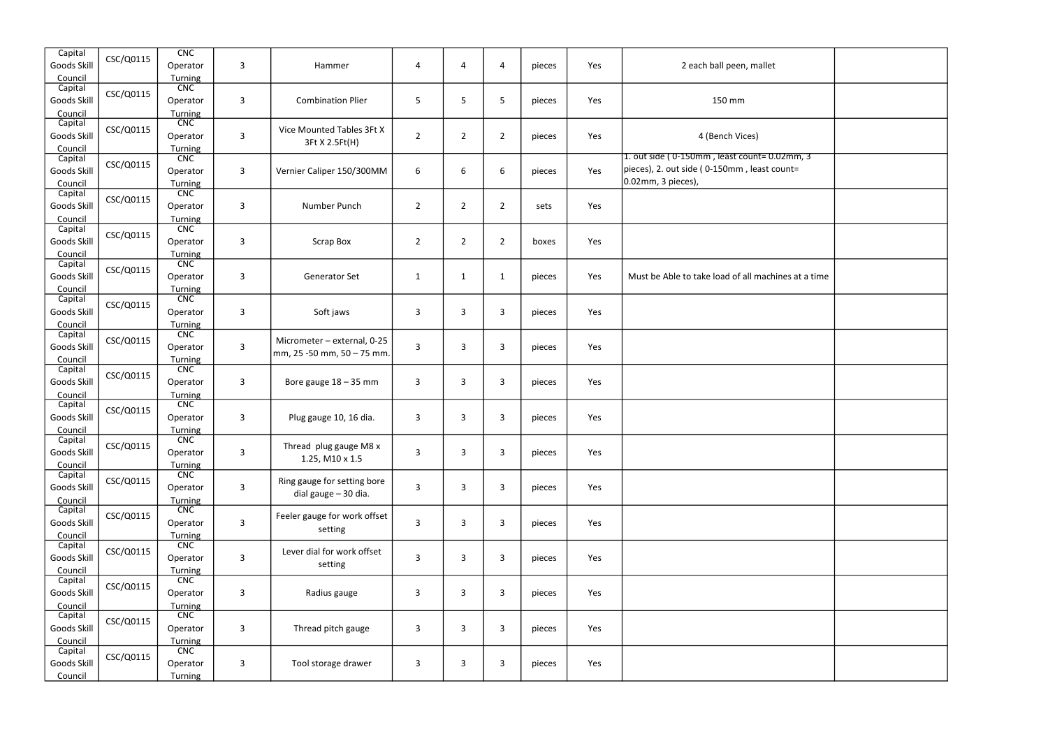| Capital<br>Goods Skill<br>Council | CSC/Q0115 | CNC<br>Operator<br>Turning        | 3              | Hammer                                                     | 4              | 4              | 4              | pieces | Yes | 2 each ball peen, mallet                                                                                         |  |
|-----------------------------------|-----------|-----------------------------------|----------------|------------------------------------------------------------|----------------|----------------|----------------|--------|-----|------------------------------------------------------------------------------------------------------------------|--|
| Capital<br>Goods Skill<br>Council | CSC/Q0115 | <b>CNC</b><br>Operator<br>Turning | 3              | <b>Combination Plier</b>                                   | 5              | 5              | 5              | pieces | Yes | 150 mm                                                                                                           |  |
| Capital<br>Goods Skill<br>Council | CSC/Q0115 | CNC<br>Operator<br>Turning        | 3              | Vice Mounted Tables 3Ft X<br>3Ft X 2.5Ft(H)                | $\overline{2}$ | $\overline{2}$ | $\overline{2}$ | pieces | Yes | 4 (Bench Vices)                                                                                                  |  |
| Capital<br>Goods Skill<br>Council | CSC/Q0115 | CNC<br>Operator<br>Turning        | 3              | Vernier Caliper 150/300MM                                  | 6              | 6              | 6              | pieces | Yes | 1. out side (0-150mm, least count=0.02mm, 3<br>pieces), 2. out side (0-150mm, least count=<br>0.02mm, 3 pieces), |  |
| Capital<br>Goods Skill<br>Council | CSC/Q0115 | <b>CNC</b><br>Operator<br>Turning | 3              | Number Punch                                               | $\overline{2}$ | $\overline{2}$ | $\overline{2}$ | sets   | Yes |                                                                                                                  |  |
| Capital<br>Goods Skill<br>Council | CSC/Q0115 | CNC<br>Operator<br>Turning        | 3              | Scrap Box                                                  | $\overline{2}$ | $\overline{2}$ | $\overline{2}$ | boxes  | Yes |                                                                                                                  |  |
| Capital<br>Goods Skill<br>Council | CSC/Q0115 | <b>CNC</b><br>Operator<br>Turning | 3              | <b>Generator Set</b>                                       | $\mathbf{1}$   | 1              | $\mathbf{1}$   | pieces | Yes | Must be Able to take load of all machines at a time                                                              |  |
| Capital<br>Goods Skill<br>Council | CSC/Q0115 | CNC<br>Operator<br>Turning        | 3              | Soft jaws                                                  | 3              | 3              | 3              | pieces | Yes |                                                                                                                  |  |
| Capital<br>Goods Skill<br>Council | CSC/Q0115 | CNC<br>Operator<br>Turning        | $\mathbf{3}$   | Micrometer - external, 0-25<br> mm, 25 -50 mm, 50 – 75 mm. | $\mathbf{3}$   | $\mathbf{3}$   | 3              | pieces | Yes |                                                                                                                  |  |
| Capital<br>Goods Skill<br>Council | CSC/Q0115 | CNC<br>Operator<br>Turning        | $\mathbf{3}$   | Bore gauge $18 - 35$ mm                                    | $\mathbf{3}$   | 3              | 3              | pieces | Yes |                                                                                                                  |  |
| Capital<br>Goods Skill<br>Council | CSC/Q0115 | CNC<br>Operator<br>Turning        | 3              | Plug gauge 10, 16 dia.                                     | 3              | 3              | 3              | pieces | Yes |                                                                                                                  |  |
| Capital<br>Goods Skill<br>Council | CSC/Q0115 | CNC<br>Operator<br>Turning        | $\mathsf{3}$   | Thread plug gauge M8 x<br>1.25, M10 x 1.5                  | $\mathbf{3}$   | 3              | 3              | pieces | Yes |                                                                                                                  |  |
| Capital<br>Goods Skill<br>Council | CSC/Q0115 | CNC<br>Operator<br>Turning        | $\overline{3}$ | Ring gauge for setting bore<br>dial gauge - 30 dia.        | $\mathbf{3}$   | 3              | 3              | pieces | Yes |                                                                                                                  |  |
| Capital<br>Goods Skill<br>Council | CSC/Q0115 | <b>CNC</b><br>Operator<br>Turning | 3              | Feeler gauge for work offset<br>setting                    | 3              | 3              | 3              | pieces | Yes |                                                                                                                  |  |
| Capital<br>Goods Skill<br>Council | CSC/Q0115 | CNC<br>Operator<br>Turning        | $\mathbf{3}$   | Lever dial for work offset<br>setting                      | 3              | 3              | 3              | pieces | Yes |                                                                                                                  |  |
| Capital<br>Goods Skill<br>Council | CSC/Q0115 | CNC<br>Operator<br>Turning        | 3              | Radius gauge                                               | 3              | 3              | 3              | pieces | Yes |                                                                                                                  |  |
| Capital<br>Goods Skill<br>Council | CSC/Q0115 | <b>CNC</b><br>Operator<br>Turning | 3              | Thread pitch gauge                                         | 3              | 3              | 3              | pieces | Yes |                                                                                                                  |  |
| Capital<br>Goods Skill<br>Council | CSC/Q0115 | CNC<br>Operator<br>Turning        | 3              | Tool storage drawer                                        | $\mathbf{3}$   | 3              | 3              | pieces | Yes |                                                                                                                  |  |

| all peen, mallet                     |  |
|--------------------------------------|--|
| 50 mm                                |  |
| nch Vices)<br>least count= 0.02mm, 3 |  |
| 50mm, least count=                   |  |
|                                      |  |
|                                      |  |
| bad of all machines at a time        |  |
|                                      |  |
|                                      |  |
|                                      |  |
|                                      |  |
|                                      |  |
|                                      |  |
|                                      |  |
|                                      |  |
|                                      |  |
|                                      |  |
|                                      |  |
|                                      |  |